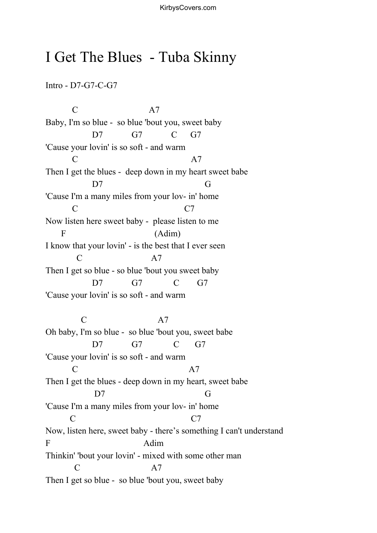## I Get The Blues - Tuba Skinny

Intro - D7-G7-C-G7

 $C \qquad \qquad \text{A7}$ Baby, I'm so blue - so blue 'bout you, sweet baby D7 G7 C G7 'Cause your lovin' is so soft - and warm  $C \hspace{1.6cm} A7$ Then I get the blues - deep down in my heart sweet babe D7 G 'Cause I'm a many miles from your lov- in' home C C7 Now listen here sweet baby - please listen to me F (Adim) I know that your lovin' - is the best that I ever seen  $C \qquad \qquad \Delta 7$ Then I get so blue - so blue 'bout you sweet baby D7 G7 C G7 'Cause your lovin' is so soft - and warm C A7 Oh baby, I'm so blue - so blue 'bout you, sweet babe D7 G7 C G7 'Cause your lovin' is so soft - and warm  $C \hspace{1.5cm} A7$ Then I get the blues - deep down in my heart, sweet babe D7 G 'Cause I'm a many miles from your lov- in' home C C7 Now, listen here, sweet baby - there's something I can't understand F Adim Thinkin' 'bout your lovin' - mixed with some other man C A7 Then I get so blue - so blue 'bout you, sweet baby